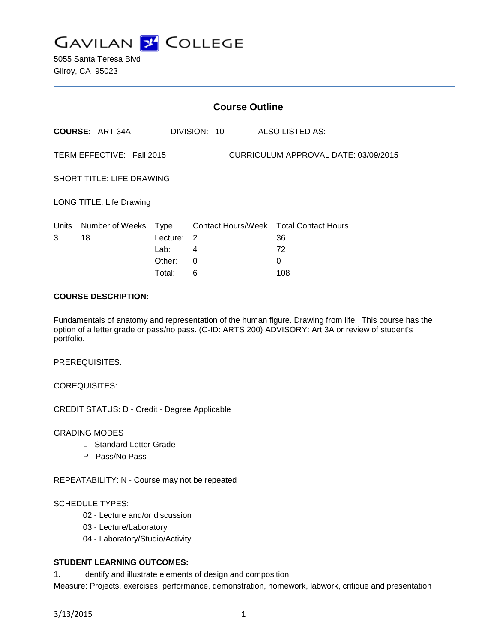

5055 Santa Teresa Blvd Gilroy, CA 95023

| <b>Course Outline</b>                                             |                            |          |          |              |  |                                              |
|-------------------------------------------------------------------|----------------------------|----------|----------|--------------|--|----------------------------------------------|
|                                                                   | <b>COURSE: ART 34A</b>     |          |          | DIVISION: 10 |  | ALSO LISTED AS:                              |
| TERM EFFECTIVE: Fall 2015<br>CURRICULUM APPROVAL DATE: 03/09/2015 |                            |          |          |              |  |                                              |
| <b>SHORT TITLE: LIFE DRAWING</b>                                  |                            |          |          |              |  |                                              |
| LONG TITLE: Life Drawing                                          |                            |          |          |              |  |                                              |
| Units<br>3                                                        | Number of Weeks Type<br>18 | Lecture: | -2       |              |  | Contact Hours/Week Total Contact Hours<br>36 |
|                                                                   |                            | Lab:     | 4        |              |  | 72                                           |
|                                                                   |                            | Other:   | $\Omega$ |              |  | 0                                            |
|                                                                   |                            | Total:   | 6        |              |  | 108                                          |

#### **COURSE DESCRIPTION:**

Fundamentals of anatomy and representation of the human figure. Drawing from life. This course has the option of a letter grade or pass/no pass. (C-ID: ARTS 200) ADVISORY: Art 3A or review of student's portfolio.

PREREQUISITES:

COREQUISITES:

CREDIT STATUS: D - Credit - Degree Applicable

GRADING MODES

- L Standard Letter Grade
- P Pass/No Pass

REPEATABILITY: N - Course may not be repeated

#### SCHEDULE TYPES:

- 02 Lecture and/or discussion
- 03 Lecture/Laboratory
- 04 Laboratory/Studio/Activity

### **STUDENT LEARNING OUTCOMES:**

1. Identify and illustrate elements of design and composition

Measure: Projects, exercises, performance, demonstration, homework, labwork, critique and presentation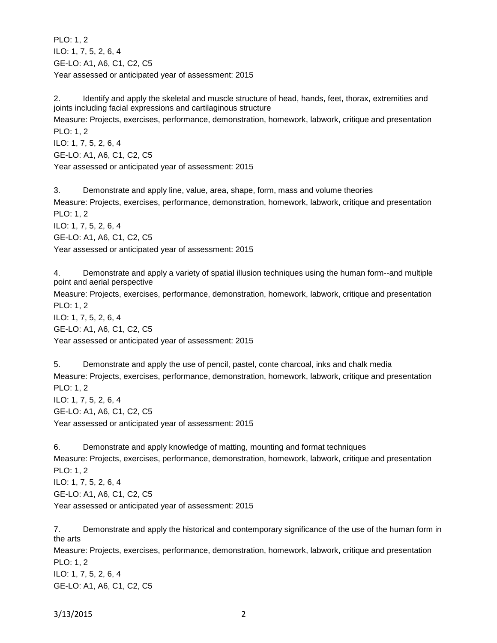PLO: 1, 2 ILO: 1, 7, 5, 2, 6, 4 GE-LO: A1, A6, C1, C2, C5 Year assessed or anticipated year of assessment: 2015

2. Identify and apply the skeletal and muscle structure of head, hands, feet, thorax, extremities and joints including facial expressions and cartilaginous structure

Measure: Projects, exercises, performance, demonstration, homework, labwork, critique and presentation PLO: 1, 2

ILO: 1, 7, 5, 2, 6, 4 GE-LO: A1, A6, C1, C2, C5

Year assessed or anticipated year of assessment: 2015

3. Demonstrate and apply line, value, area, shape, form, mass and volume theories Measure: Projects, exercises, performance, demonstration, homework, labwork, critique and presentation PLO: 1, 2 ILO: 1, 7, 5, 2, 6, 4 GE-LO: A1, A6, C1, C2, C5 Year assessed or anticipated year of assessment: 2015

4. Demonstrate and apply a variety of spatial illusion techniques using the human form--and multiple point and aerial perspective

Measure: Projects, exercises, performance, demonstration, homework, labwork, critique and presentation PLO: 1, 2

ILO: 1, 7, 5, 2, 6, 4 GE-LO: A1, A6, C1, C2, C5 Year assessed or anticipated year of assessment: 2015

5. Demonstrate and apply the use of pencil, pastel, conte charcoal, inks and chalk media Measure: Projects, exercises, performance, demonstration, homework, labwork, critique and presentation PLO: 1, 2 ILO: 1, 7, 5, 2, 6, 4 GE-LO: A1, A6, C1, C2, C5 Year assessed or anticipated year of assessment: 2015

6. Demonstrate and apply knowledge of matting, mounting and format techniques Measure: Projects, exercises, performance, demonstration, homework, labwork, critique and presentation PLO: 1, 2 ILO: 1, 7, 5, 2, 6, 4 GE-LO: A1, A6, C1, C2, C5 Year assessed or anticipated year of assessment: 2015

7. Demonstrate and apply the historical and contemporary significance of the use of the human form in the arts Measure: Projects, exercises, performance, demonstration, homework, labwork, critique and presentation PLO: 1, 2 ILO: 1, 7, 5, 2, 6, 4 GE-LO: A1, A6, C1, C2, C5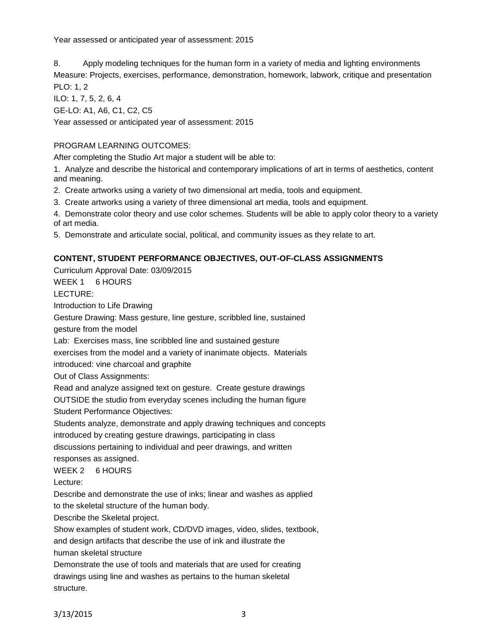Year assessed or anticipated year of assessment: 2015

8. Apply modeling techniques for the human form in a variety of media and lighting environments Measure: Projects, exercises, performance, demonstration, homework, labwork, critique and presentation PLO: 1, 2

ILO: 1, 7, 5, 2, 6, 4 GE-LO: A1, A6, C1, C2, C5

Year assessed or anticipated year of assessment: 2015

# PROGRAM LEARNING OUTCOMES:

After completing the Studio Art major a student will be able to:

1. Analyze and describe the historical and contemporary implications of art in terms of aesthetics, content and meaning.

- 2. Create artworks using a variety of two dimensional art media, tools and equipment.
- 3. Create artworks using a variety of three dimensional art media, tools and equipment.

4. Demonstrate color theory and use color schemes. Students will be able to apply color theory to a variety of art media.

5. Demonstrate and articulate social, political, and community issues as they relate to art.

## **CONTENT, STUDENT PERFORMANCE OBJECTIVES, OUT-OF-CLASS ASSIGNMENTS**

Curriculum Approval Date: 03/09/2015 WEEK 1 6 HOURS LECTURE: Introduction to Life Drawing Gesture Drawing: Mass gesture, line gesture, scribbled line, sustained gesture from the model Lab: Exercises mass, line scribbled line and sustained gesture exercises from the model and a variety of inanimate objects. Materials introduced: vine charcoal and graphite Out of Class Assignments: Read and analyze assigned text on gesture. Create gesture drawings OUTSIDE the studio from everyday scenes including the human figure Student Performance Objectives: Students analyze, demonstrate and apply drawing techniques and concepts introduced by creating gesture drawings, participating in class discussions pertaining to individual and peer drawings, and written responses as assigned. WEEK 2 6 HOURS Lecture: Describe and demonstrate the use of inks; linear and washes as applied to the skeletal structure of the human body. Describe the Skeletal project. Show examples of student work, CD/DVD images, video, slides, textbook, and design artifacts that describe the use of ink and illustrate the

human skeletal structure

Demonstrate the use of tools and materials that are used for creating drawings using line and washes as pertains to the human skeletal structure.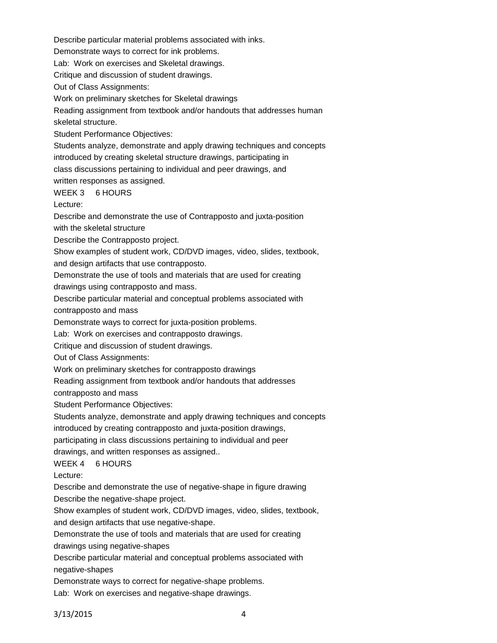Demonstrate ways to correct for ink problems. Lab: Work on exercises and Skeletal drawings. Critique and discussion of student drawings. Out of Class Assignments: Work on preliminary sketches for Skeletal drawings Reading assignment from textbook and/or handouts that addresses human skeletal structure. Student Performance Objectives: Students analyze, demonstrate and apply drawing techniques and concepts introduced by creating skeletal structure drawings, participating in class discussions pertaining to individual and peer drawings, and written responses as assigned. WEEK 3 6 HOURS Lecture: Describe and demonstrate the use of Contrapposto and juxta-position with the skeletal structure Describe the Contrapposto project. Show examples of student work, CD/DVD images, video, slides, textbook, and design artifacts that use contrapposto. Demonstrate the use of tools and materials that are used for creating drawings using contrapposto and mass. Describe particular material and conceptual problems associated with contrapposto and mass Demonstrate ways to correct for juxta-position problems. Lab: Work on exercises and contrapposto drawings. Critique and discussion of student drawings. Out of Class Assignments: Work on preliminary sketches for contrapposto drawings Reading assignment from textbook and/or handouts that addresses contrapposto and mass Student Performance Objectives: Students analyze, demonstrate and apply drawing techniques and concepts introduced by creating contrapposto and juxta-position drawings, participating in class discussions pertaining to individual and peer drawings, and written responses as assigned.. WEEK 4 6 HOURS Lecture: Describe and demonstrate the use of negative-shape in figure drawing Describe the negative-shape project. Show examples of student work, CD/DVD images, video, slides, textbook, and design artifacts that use negative-shape. Demonstrate the use of tools and materials that are used for creating drawings using negative-shapes Describe particular material and conceptual problems associated with negative-shapes

Describe particular material problems associated with inks.

Demonstrate ways to correct for negative-shape problems.

Lab: Work on exercises and negative-shape drawings.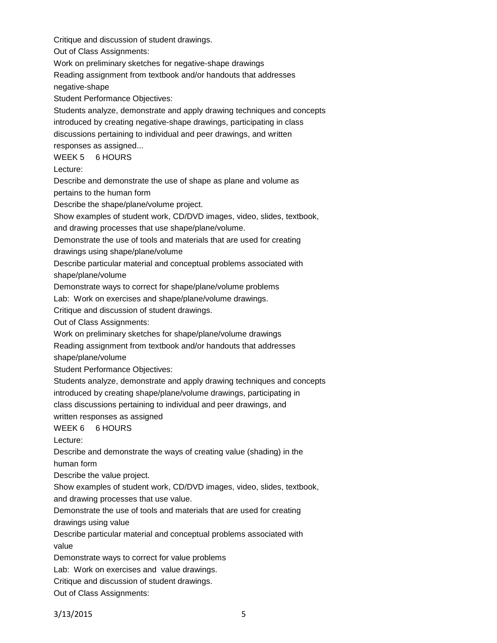Critique and discussion of student drawings.

Out of Class Assignments:

Work on preliminary sketches for negative-shape drawings

Reading assignment from textbook and/or handouts that addresses

negative-shape

Student Performance Objectives:

Students analyze, demonstrate and apply drawing techniques and concepts introduced by creating negative-shape drawings, participating in class discussions pertaining to individual and peer drawings, and written responses as assigned...

WEEK 5 6 HOURS

Lecture:

Describe and demonstrate the use of shape as plane and volume as pertains to the human form

Describe the shape/plane/volume project.

Show examples of student work, CD/DVD images, video, slides, textbook,

and drawing processes that use shape/plane/volume.

Demonstrate the use of tools and materials that are used for creating

drawings using shape/plane/volume

Describe particular material and conceptual problems associated with

shape/plane/volume

Demonstrate ways to correct for shape/plane/volume problems

Lab: Work on exercises and shape/plane/volume drawings.

Critique and discussion of student drawings.

Out of Class Assignments:

Work on preliminary sketches for shape/plane/volume drawings

Reading assignment from textbook and/or handouts that addresses

shape/plane/volume

Student Performance Objectives:

Students analyze, demonstrate and apply drawing techniques and concepts introduced by creating shape/plane/volume drawings, participating in class discussions pertaining to individual and peer drawings, and

written responses as assigned

WEEK 6 6 HOURS

Lecture:

Describe and demonstrate the ways of creating value (shading) in the

human form

Describe the value project.

Show examples of student work, CD/DVD images, video, slides, textbook, and drawing processes that use value.

Demonstrate the use of tools and materials that are used for creating

drawings using value

Describe particular material and conceptual problems associated with value

Demonstrate ways to correct for value problems

Lab: Work on exercises and value drawings.

Critique and discussion of student drawings.

Out of Class Assignments:

3/13/2015 5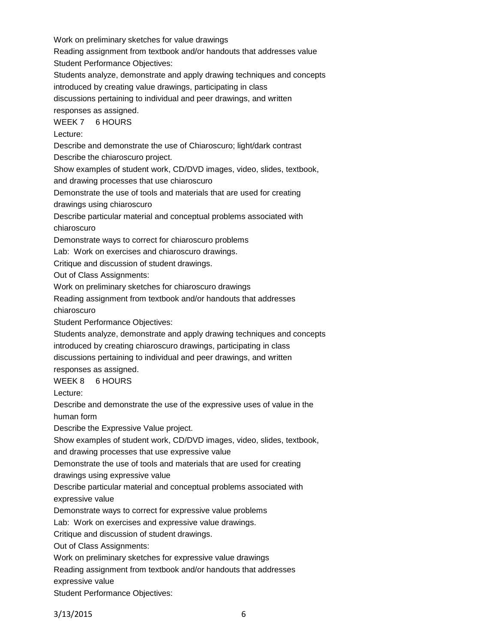Work on preliminary sketches for value drawings Reading assignment from textbook and/or handouts that addresses value Student Performance Objectives:

Students analyze, demonstrate and apply drawing techniques and concepts

introduced by creating value drawings, participating in class

discussions pertaining to individual and peer drawings, and written

responses as assigned.

WEEK 7 6 HOURS

Lecture:

Describe and demonstrate the use of Chiaroscuro; light/dark contrast Describe the chiaroscuro project.

Show examples of student work, CD/DVD images, video, slides, textbook, and drawing processes that use chiaroscuro

Demonstrate the use of tools and materials that are used for creating

drawings using chiaroscuro

Describe particular material and conceptual problems associated with chiaroscuro

Demonstrate ways to correct for chiaroscuro problems

Lab: Work on exercises and chiaroscuro drawings.

Critique and discussion of student drawings.

Out of Class Assignments:

Work on preliminary sketches for chiaroscuro drawings

Reading assignment from textbook and/or handouts that addresses

chiaroscuro

Student Performance Objectives:

Students analyze, demonstrate and apply drawing techniques and concepts introduced by creating chiaroscuro drawings, participating in class discussions pertaining to individual and peer drawings, and written responses as assigned.

## WEEK 8 6 HOURS

Lecture:

Describe and demonstrate the use of the expressive uses of value in the

human form

Describe the Expressive Value project.

Show examples of student work, CD/DVD images, video, slides, textbook,

and drawing processes that use expressive value

Demonstrate the use of tools and materials that are used for creating

drawings using expressive value

Describe particular material and conceptual problems associated with expressive value

Demonstrate ways to correct for expressive value problems

Lab: Work on exercises and expressive value drawings.

Critique and discussion of student drawings.

Out of Class Assignments:

Work on preliminary sketches for expressive value drawings

Reading assignment from textbook and/or handouts that addresses

expressive value

Student Performance Objectives: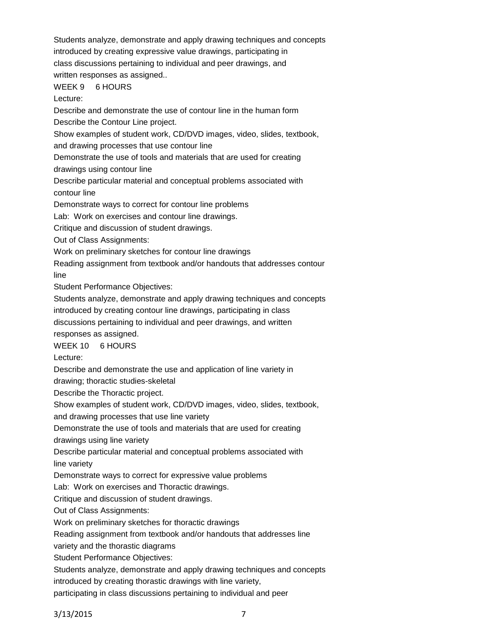Students analyze, demonstrate and apply drawing techniques and concepts introduced by creating expressive value drawings, participating in class discussions pertaining to individual and peer drawings, and written responses as assigned.. WEEK 9 6 HOURS Lecture: Describe and demonstrate the use of contour line in the human form Describe the Contour Line project.

Show examples of student work, CD/DVD images, video, slides, textbook,

and drawing processes that use contour line

Demonstrate the use of tools and materials that are used for creating

drawings using contour line

Describe particular material and conceptual problems associated with contour line

Demonstrate ways to correct for contour line problems

Lab: Work on exercises and contour line drawings.

Critique and discussion of student drawings.

Out of Class Assignments:

Work on preliminary sketches for contour line drawings

Reading assignment from textbook and/or handouts that addresses contour

line

Student Performance Objectives:

Students analyze, demonstrate and apply drawing techniques and concepts

introduced by creating contour line drawings, participating in class

discussions pertaining to individual and peer drawings, and written

responses as assigned.

WEEK 10 6 HOURS

Lecture:

Describe and demonstrate the use and application of line variety in

drawing; thoractic studies-skeletal

Describe the Thoractic project.

Show examples of student work, CD/DVD images, video, slides, textbook,

and drawing processes that use line variety

Demonstrate the use of tools and materials that are used for creating

drawings using line variety

Describe particular material and conceptual problems associated with line variety

Demonstrate ways to correct for expressive value problems

Lab: Work on exercises and Thoractic drawings.

Critique and discussion of student drawings.

Out of Class Assignments:

Work on preliminary sketches for thoractic drawings

Reading assignment from textbook and/or handouts that addresses line

variety and the thorastic diagrams

Student Performance Objectives:

Students analyze, demonstrate and apply drawing techniques and concepts

introduced by creating thorastic drawings with line variety,

participating in class discussions pertaining to individual and peer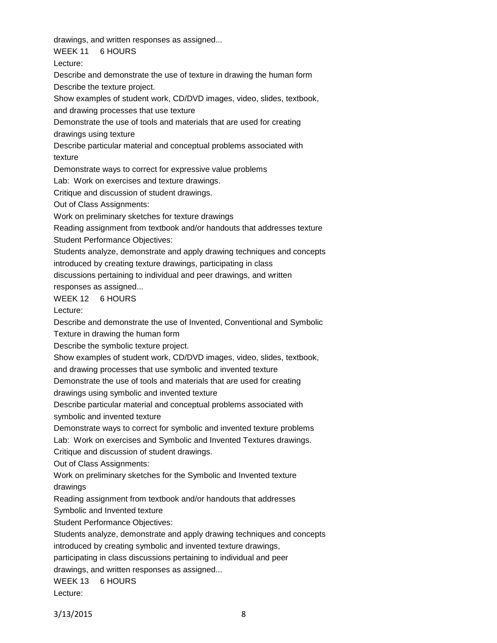drawings, and written responses as assigned...

WEEK 11 6 HOURS

Lecture:

Describe and demonstrate the use of texture in drawing the human form Describe the texture project.

Show examples of student work, CD/DVD images, video, slides, textbook, and drawing processes that use texture

Demonstrate the use of tools and materials that are used for creating

drawings using texture

Describe particular material and conceptual problems associated with texture

Demonstrate ways to correct for expressive value problems

Lab: Work on exercises and texture drawings.

Critique and discussion of student drawings.

Out of Class Assignments:

Work on preliminary sketches for texture drawings

Reading assignment from textbook and/or handouts that addresses texture Student Performance Objectives:

Students analyze, demonstrate and apply drawing techniques and concepts introduced by creating texture drawings, participating in class

discussions pertaining to individual and peer drawings, and written

responses as assigned...

WEEK 12 6 HOURS

Lecture:

Describe and demonstrate the use of Invented, Conventional and Symbolic

Texture in drawing the human form

Describe the symbolic texture project.

Show examples of student work, CD/DVD images, video, slides, textbook,

and drawing processes that use symbolic and invented texture

Demonstrate the use of tools and materials that are used for creating

drawings using symbolic and invented texture

Describe particular material and conceptual problems associated with

symbolic and invented texture

Demonstrate ways to correct for symbolic and invented texture problems

Lab: Work on exercises and Symbolic and Invented Textures drawings.

Critique and discussion of student drawings.

Out of Class Assignments:

Work on preliminary sketches for the Symbolic and Invented texture drawings

Reading assignment from textbook and/or handouts that addresses

Symbolic and Invented texture

Student Performance Objectives:

Students analyze, demonstrate and apply drawing techniques and concepts introduced by creating symbolic and invented texture drawings,

participating in class discussions pertaining to individual and peer

drawings, and written responses as assigned...

WEEK 13 6 HOURS

Lecture: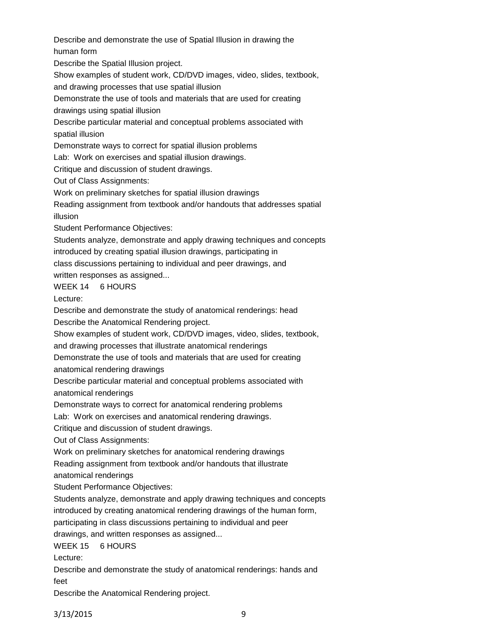Describe and demonstrate the use of Spatial Illusion in drawing the human form

Describe the Spatial Illusion project.

Show examples of student work, CD/DVD images, video, slides, textbook,

and drawing processes that use spatial illusion

Demonstrate the use of tools and materials that are used for creating drawings using spatial illusion

Describe particular material and conceptual problems associated with spatial illusion

Demonstrate ways to correct for spatial illusion problems

Lab: Work on exercises and spatial illusion drawings.

Critique and discussion of student drawings.

Out of Class Assignments:

Work on preliminary sketches for spatial illusion drawings

Reading assignment from textbook and/or handouts that addresses spatial illusion

Student Performance Objectives:

Students analyze, demonstrate and apply drawing techniques and concepts introduced by creating spatial illusion drawings, participating in class discussions pertaining to individual and peer drawings, and

written responses as assigned...

WEEK 14 6 HOURS

Lecture:

Describe and demonstrate the study of anatomical renderings: head

Describe the Anatomical Rendering project.

Show examples of student work, CD/DVD images, video, slides, textbook,

and drawing processes that illustrate anatomical renderings

Demonstrate the use of tools and materials that are used for creating anatomical rendering drawings

Describe particular material and conceptual problems associated with anatomical renderings

Demonstrate ways to correct for anatomical rendering problems

Lab: Work on exercises and anatomical rendering drawings.

Critique and discussion of student drawings.

Out of Class Assignments:

Work on preliminary sketches for anatomical rendering drawings

Reading assignment from textbook and/or handouts that illustrate

anatomical renderings

Student Performance Objectives:

Students analyze, demonstrate and apply drawing techniques and concepts

introduced by creating anatomical rendering drawings of the human form,

participating in class discussions pertaining to individual and peer

drawings, and written responses as assigned...

WEEK 15 6 HOURS

Lecture:

Describe and demonstrate the study of anatomical renderings: hands and feet

Describe the Anatomical Rendering project.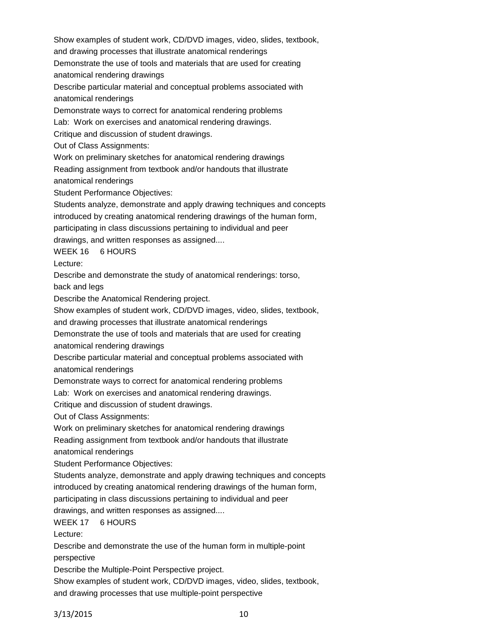Show examples of student work, CD/DVD images, video, slides, textbook,

and drawing processes that illustrate anatomical renderings

Demonstrate the use of tools and materials that are used for creating anatomical rendering drawings

Describe particular material and conceptual problems associated with anatomical renderings

Demonstrate ways to correct for anatomical rendering problems

Lab: Work on exercises and anatomical rendering drawings.

Critique and discussion of student drawings.

Out of Class Assignments:

Work on preliminary sketches for anatomical rendering drawings

Reading assignment from textbook and/or handouts that illustrate

anatomical renderings

Student Performance Objectives:

Students analyze, demonstrate and apply drawing techniques and concepts introduced by creating anatomical rendering drawings of the human form, participating in class discussions pertaining to individual and peer

drawings, and written responses as assigned....

WEEK 16 6 HOURS

Lecture:

Describe and demonstrate the study of anatomical renderings: torso,

back and legs

Describe the Anatomical Rendering project.

Show examples of student work, CD/DVD images, video, slides, textbook,

and drawing processes that illustrate anatomical renderings

Demonstrate the use of tools and materials that are used for creating

anatomical rendering drawings

Describe particular material and conceptual problems associated with anatomical renderings

Demonstrate ways to correct for anatomical rendering problems

Lab: Work on exercises and anatomical rendering drawings.

Critique and discussion of student drawings.

Out of Class Assignments:

Work on preliminary sketches for anatomical rendering drawings

Reading assignment from textbook and/or handouts that illustrate

anatomical renderings

Student Performance Objectives:

Students analyze, demonstrate and apply drawing techniques and concepts

introduced by creating anatomical rendering drawings of the human form,

participating in class discussions pertaining to individual and peer

drawings, and written responses as assigned....

WEEK 17 6 HOURS

Lecture:

Describe and demonstrate the use of the human form in multiple-point perspective

Describe the Multiple-Point Perspective project.

Show examples of student work, CD/DVD images, video, slides, textbook, and drawing processes that use multiple-point perspective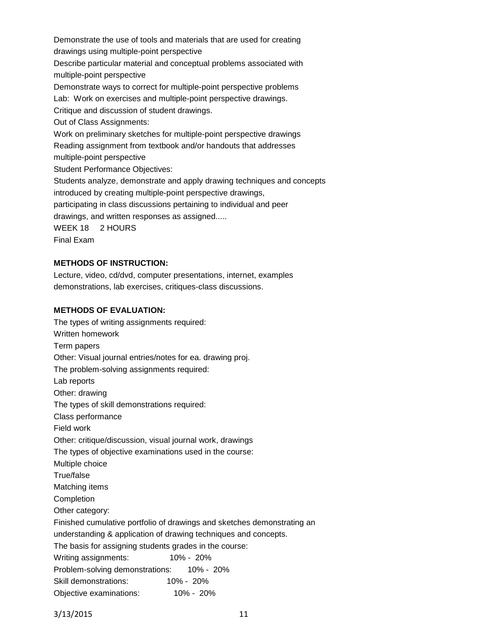Demonstrate the use of tools and materials that are used for creating drawings using multiple-point perspective Describe particular material and conceptual problems associated with multiple-point perspective Demonstrate ways to correct for multiple-point perspective problems Lab: Work on exercises and multiple-point perspective drawings. Critique and discussion of student drawings. Out of Class Assignments: Work on preliminary sketches for multiple-point perspective drawings Reading assignment from textbook and/or handouts that addresses multiple-point perspective Student Performance Objectives: Students analyze, demonstrate and apply drawing techniques and concepts introduced by creating multiple-point perspective drawings, participating in class discussions pertaining to individual and peer drawings, and written responses as assigned..... WEEK 18 2 HOURS Final Exam

## **METHODS OF INSTRUCTION:**

Lecture, video, cd/dvd, computer presentations, internet, examples demonstrations, lab exercises, critiques-class discussions.

#### **METHODS OF EVALUATION:**

The types of writing assignments required: Written homework Term papers Other: Visual journal entries/notes for ea. drawing proj. The problem-solving assignments required: Lab reports Other: drawing The types of skill demonstrations required: Class performance Field work Other: critique/discussion, visual journal work, drawings The types of objective examinations used in the course: Multiple choice True/false Matching items Completion Other category: Finished cumulative portfolio of drawings and sketches demonstrating an understanding & application of drawing techniques and concepts. The basis for assigning students grades in the course: Writing assignments: 10% - 20% Problem-solving demonstrations: 10% - 20% Skill demonstrations: 10% - 20% Objective examinations: 10% - 20%